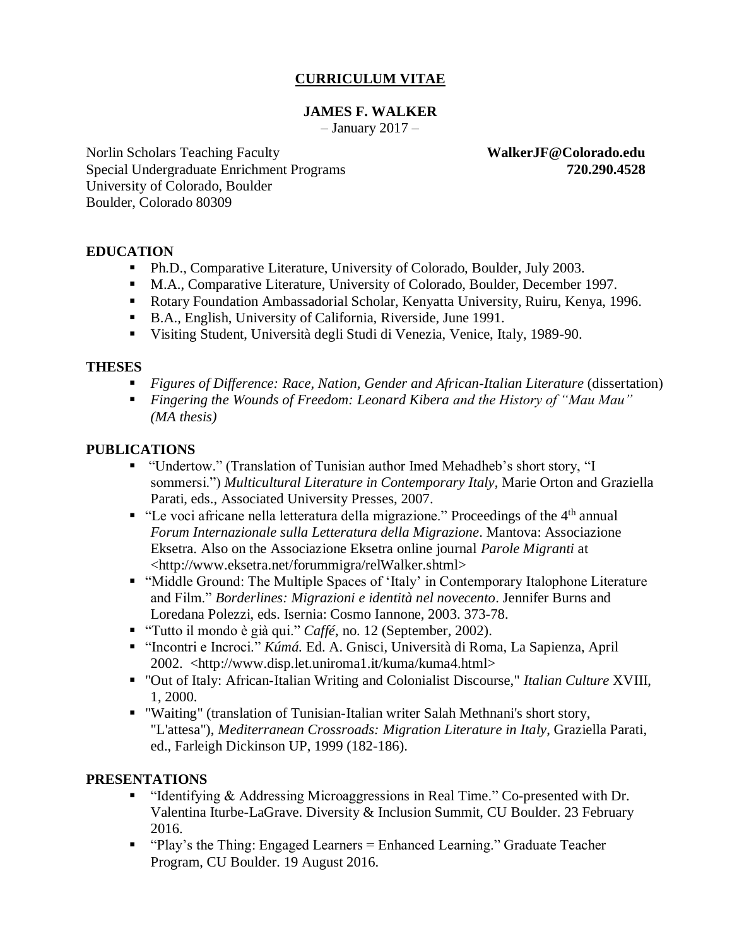## **CURRICULUM VITAE**

#### **JAMES F. WALKER**

 $-$  January 2017  $-$ 

Norlin Scholars Teaching Faculty **WalkerJF@Colorado.edu** Special Undergraduate Enrichment Programs **720.290.4528** University of Colorado, Boulder Boulder, Colorado 80309

#### **EDUCATION**

- Ph.D., Comparative Literature, University of Colorado, Boulder, July 2003.
- M.A., Comparative Literature, University of Colorado, Boulder, December 1997.
- Rotary Foundation Ambassadorial Scholar, Kenyatta University, Ruiru, Kenya, 1996.
- B.A., English, University of California, Riverside, June 1991.
- Visiting Student, Università degli Studi di Venezia, Venice, Italy, 1989-90.

#### **THESES**

- *Figures of Difference: Race, Nation, Gender and African-Italian Literature* (dissertation)
- *Fingering the Wounds of Freedom: Leonard Kibera and the History of "Mau Mau" (MA thesis)*

#### **PUBLICATIONS**

- "Undertow." (Translation of Tunisian author Imed Mehadheb's short story, "I sommersi.") *Multicultural Literature in Contemporary Italy*, Marie Orton and Graziella Parati, eds., Associated University Presses, 2007.
- $\bullet$  "Le voci africane nella letteratura della migrazione." Proceedings of the 4<sup>th</sup> annual *Forum Internazionale sulla Letteratura della Migrazione*. Mantova: Associazione Eksetra. Also on the Associazione Eksetra online journal *Parole Migranti* at <http://www.eksetra.net/forummigra/relWalker.shtml>
- "Middle Ground: The Multiple Spaces of 'Italy' in Contemporary Italophone Literature and Film." *Borderlines: Migrazioni e identità nel novecento*. Jennifer Burns and Loredana Polezzi, eds. Isernia: Cosmo Iannone, 2003. 373-78.
- "Tutto il mondo è già qui." *Caffé*, no. 12 (September, 2002).
- "Incontri e Incroci." *Kúmá.* Ed. A. Gnisci, Università di Roma, La Sapienza, April 2002. <http://www.disp.let.uniroma1.it/kuma/kuma4.html>
- "Out of Italy: African-Italian Writing and Colonialist Discourse," *Italian Culture* XVIII, 1, 2000.
- "Waiting" (translation of Tunisian-Italian writer Salah Methnani's short story, "L'attesa"), *Mediterranean Crossroads: Migration Literature in Italy*, Graziella Parati, ed., Farleigh Dickinson UP, 1999 (182-186).

#### **PRESENTATIONS**

- "Identifying & Addressing Microaggressions in Real Time." Co-presented with Dr. Valentina Iturbe-LaGrave. Diversity & Inclusion Summit, CU Boulder. 23 February 2016.
- "Play's the Thing: Engaged Learners = Enhanced Learning." Graduate Teacher Program, CU Boulder. 19 August 2016.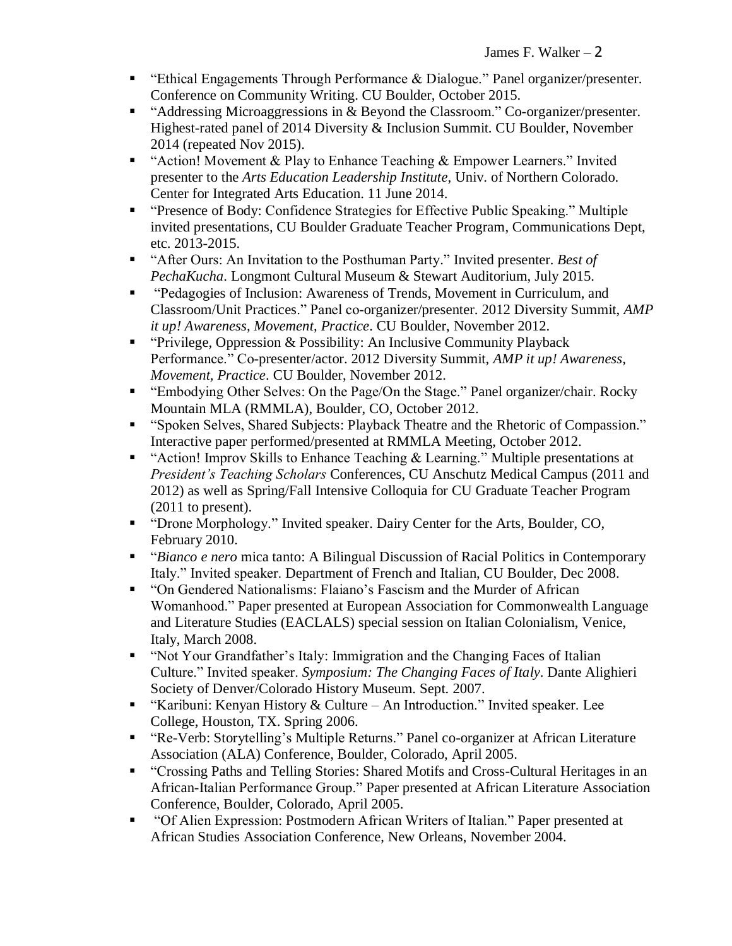- "Ethical Engagements Through Performance & Dialogue." Panel organizer/presenter. Conference on Community Writing. CU Boulder, October 2015.
- "Addressing Microaggressions in & Beyond the Classroom." Co-organizer/presenter. Highest-rated panel of 2014 Diversity & Inclusion Summit. CU Boulder, November 2014 (repeated Nov 2015).
- "Action! Movement & Play to Enhance Teaching & Empower Learners." Invited presenter to the *Arts Education Leadership Institute*, Univ. of Northern Colorado. Center for Integrated Arts Education. 11 June 2014.
- "Presence of Body: Confidence Strategies for Effective Public Speaking." Multiple invited presentations, CU Boulder Graduate Teacher Program, Communications Dept, etc. 2013-2015.
- "After Ours: An Invitation to the Posthuman Party." Invited presenter. *Best of PechaKucha*. Longmont Cultural Museum & Stewart Auditorium, July 2015.
- "Pedagogies of Inclusion: Awareness of Trends, Movement in Curriculum, and Classroom/Unit Practices." Panel co-organizer/presenter. 2012 Diversity Summit, *AMP it up! Awareness, Movement, Practice*. CU Boulder, November 2012.
- "Privilege, Oppression & Possibility: An Inclusive Community Playback Performance." Co-presenter/actor. 2012 Diversity Summit, *AMP it up! Awareness, Movement, Practice*. CU Boulder, November 2012.
- "Embodying Other Selves: On the Page/On the Stage." Panel organizer/chair. Rocky Mountain MLA (RMMLA), Boulder, CO, October 2012.
- "Spoken Selves, Shared Subjects: Playback Theatre and the Rhetoric of Compassion." Interactive paper performed/presented at RMMLA Meeting, October 2012.
- "Action! Improv Skills to Enhance Teaching & Learning." Multiple presentations at *President's Teaching Scholars* Conferences, CU Anschutz Medical Campus (2011 and 2012) as well as Spring/Fall Intensive Colloquia for CU Graduate Teacher Program (2011 to present).
- "Drone Morphology." Invited speaker. Dairy Center for the Arts, Boulder, CO, February 2010.
- "*Bianco e nero* mica tanto: A Bilingual Discussion of Racial Politics in Contemporary Italy." Invited speaker. Department of French and Italian, CU Boulder, Dec 2008.
- "On Gendered Nationalisms: Flaiano's Fascism and the Murder of African Womanhood." Paper presented at European Association for Commonwealth Language and Literature Studies (EACLALS) special session on Italian Colonialism, Venice, Italy, March 2008.
- "Not Your Grandfather's Italy: Immigration and the Changing Faces of Italian Culture." Invited speaker. *Symposium: The Changing Faces of Italy*. Dante Alighieri Society of Denver/Colorado History Museum. Sept. 2007.
- "Karibuni: Kenyan History & Culture An Introduction." Invited speaker. Lee College, Houston, TX. Spring 2006.
- "Re-Verb: Storytelling's Multiple Returns." Panel co-organizer at African Literature Association (ALA) Conference, Boulder, Colorado, April 2005.
- "Crossing Paths and Telling Stories: Shared Motifs and Cross-Cultural Heritages in an African-Italian Performance Group." Paper presented at African Literature Association Conference, Boulder, Colorado, April 2005.
- "Of Alien Expression: Postmodern African Writers of Italian." Paper presented at African Studies Association Conference, New Orleans, November 2004.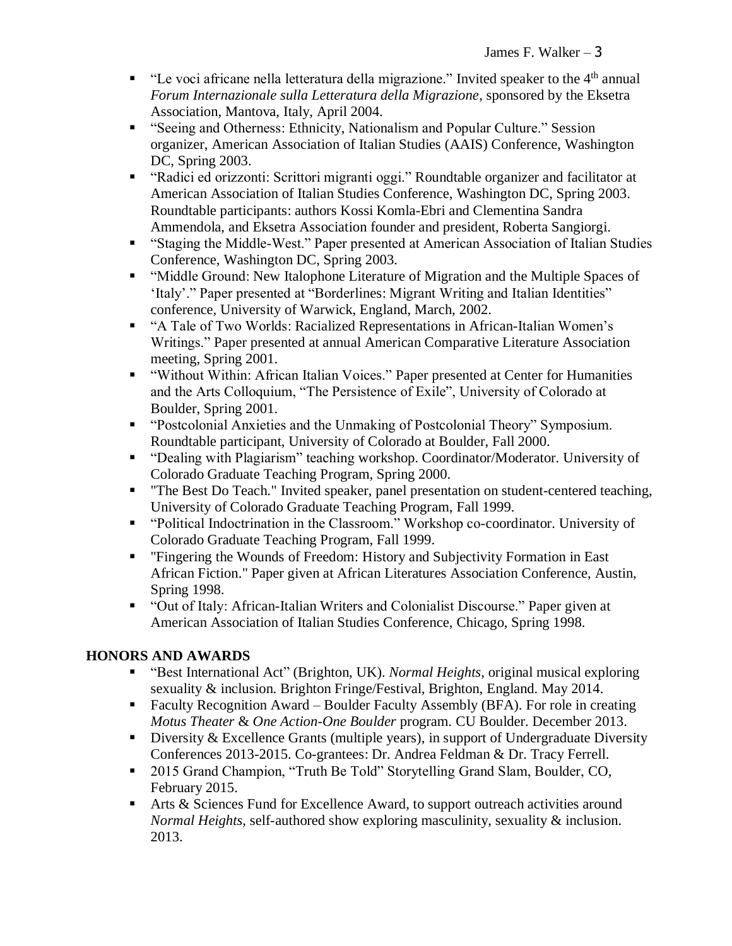- **•** "Le voci africane nella letteratura della migrazione." Invited speaker to the  $4<sup>th</sup>$  annual *Forum Internazionale sulla Letteratura della Migrazione*, sponsored by the Eksetra Association, Mantova, Italy, April 2004.
- "Seeing and Otherness: Ethnicity, Nationalism and Popular Culture." Session organizer, American Association of Italian Studies (AAIS) Conference, Washington DC, Spring 2003.
- "Radici ed orizzonti: Scrittori migranti oggi." Roundtable organizer and facilitator at American Association of Italian Studies Conference, Washington DC, Spring 2003. Roundtable participants: authors Kossi Komla-Ebri and Clementina Sandra Ammendola, and Eksetra Association founder and president, Roberta Sangiorgi.
- "Staging the Middle-West." Paper presented at American Association of Italian Studies Conference, Washington DC, Spring 2003.
- "Middle Ground: New Italophone Literature of Migration and the Multiple Spaces of 'Italy'." Paper presented at "Borderlines: Migrant Writing and Italian Identities" conference, University of Warwick, England, March, 2002.
- "A Tale of Two Worlds: Racialized Representations in African-Italian Women's Writings." Paper presented at annual American Comparative Literature Association meeting, Spring 2001.
- "Without Within: African Italian Voices." Paper presented at Center for Humanities and the Arts Colloquium, "The Persistence of Exile", University of Colorado at Boulder, Spring 2001.
- "Postcolonial Anxieties and the Unmaking of Postcolonial Theory" Symposium. Roundtable participant, University of Colorado at Boulder, Fall 2000.
- "Dealing with Plagiarism" teaching workshop. Coordinator/Moderator. University of Colorado Graduate Teaching Program, Spring 2000.
- "The Best Do Teach." Invited speaker, panel presentation on student-centered teaching, University of Colorado Graduate Teaching Program, Fall 1999.
- "Political Indoctrination in the Classroom." Workshop co-coordinator. University of Colorado Graduate Teaching Program, Fall 1999.
- "Fingering the Wounds of Freedom: History and Subjectivity Formation in East African Fiction." Paper given at African Literatures Association Conference, Austin, Spring 1998.
- "Out of Italy: African-Italian Writers and Colonialist Discourse." Paper given at American Association of Italian Studies Conference, Chicago, Spring 1998.

# **HONORS AND AWARDS**

- "Best International Act" (Brighton, UK). *Normal Heights*, original musical exploring sexuality & inclusion. Brighton Fringe/Festival, Brighton, England. May 2014.
- Faculty Recognition Award Boulder Faculty Assembly (BFA). For role in creating *Motus Theater* & *One Action-One Boulder* program. CU Boulder. December 2013.
- **•** Diversity & Excellence Grants (multiple years), in support of Undergraduate Diversity Conferences 2013-2015. Co-grantees: Dr. Andrea Feldman & Dr. Tracy Ferrell.
- 2015 Grand Champion, "Truth Be Told" Storytelling Grand Slam, Boulder, CO, February 2015.
- Arts & Sciences Fund for Excellence Award, to support outreach activities around *Normal Heights,* self-authored show exploring masculinity, sexuality & inclusion. 2013.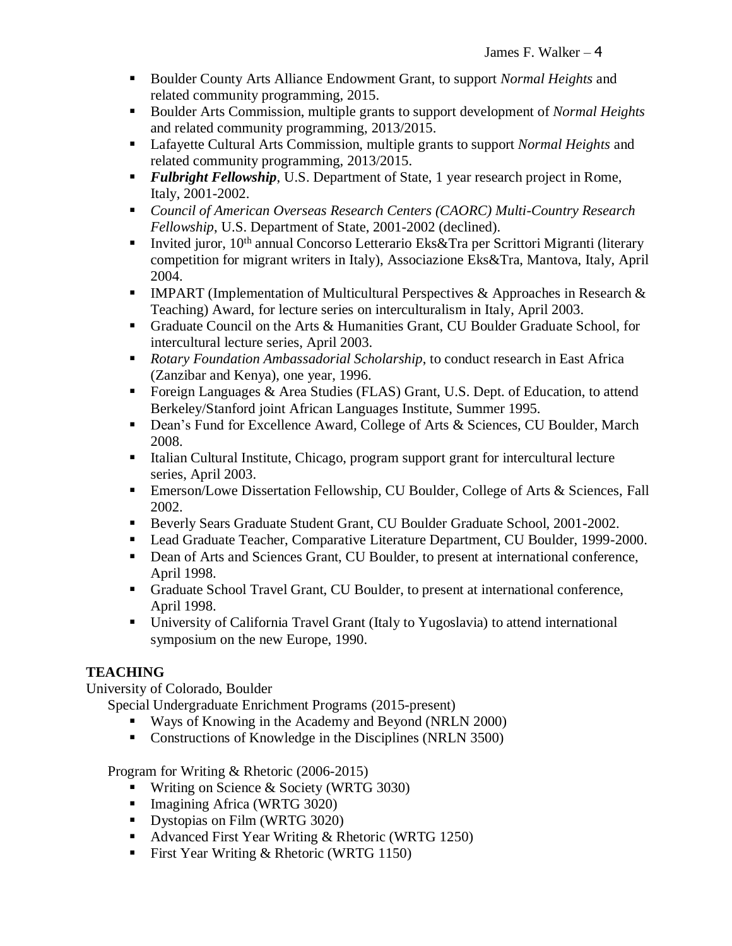- Boulder County Arts Alliance Endowment Grant, to support *Normal Heights* and related community programming, 2015.
- Boulder Arts Commission, multiple grants to support development of *Normal Heights* and related community programming, 2013/2015.
- Lafayette Cultural Arts Commission, multiple grants to support *Normal Heights* and related community programming, 2013/2015.
- *Fulbright Fellowship*, U.S. Department of State, 1 year research project in Rome, Italy, 2001-2002.
- *Council of American Overseas Research Centers (CAORC) Multi-Country Research Fellowship*, U.S. Department of State, 2001-2002 (declined).
- Invited juror, 10<sup>th</sup> annual Concorso Letterario Eks&Tra per Scrittori Migranti (literary competition for migrant writers in Italy), Associazione Eks&Tra, Mantova, Italy, April 2004.
- **IMPART** (Implementation of Multicultural Perspectives & Approaches in Research  $\&$ Teaching) Award, for lecture series on interculturalism in Italy, April 2003.
- Graduate Council on the Arts & Humanities Grant, CU Boulder Graduate School, for intercultural lecture series, April 2003.
- *Rotary Foundation Ambassadorial Scholarship*, to conduct research in East Africa (Zanzibar and Kenya), one year, 1996.
- Foreign Languages & Area Studies (FLAS) Grant, U.S. Dept. of Education, to attend Berkeley/Stanford joint African Languages Institute, Summer 1995.
- Dean's Fund for Excellence Award, College of Arts & Sciences, CU Boulder, March 2008.
- Italian Cultural Institute, Chicago, program support grant for intercultural lecture series, April 2003.
- Emerson/Lowe Dissertation Fellowship, CU Boulder, College of Arts & Sciences, Fall 2002.
- **Beverly Sears Graduate Student Grant, CU Boulder Graduate School, 2001-2002.**
- Lead Graduate Teacher, Comparative Literature Department, CU Boulder, 1999-2000.
- Dean of Arts and Sciences Grant, CU Boulder, to present at international conference, April 1998.
- Graduate School Travel Grant, CU Boulder, to present at international conference, April 1998.
- University of California Travel Grant (Italy to Yugoslavia) to attend international symposium on the new Europe, 1990.

# **TEACHING**

University of Colorado, Boulder

Special Undergraduate Enrichment Programs (2015-present)

- Ways of Knowing in the Academy and Beyond (NRLN 2000)
- Constructions of Knowledge in the Disciplines (NRLN 3500)

Program for Writing & Rhetoric (2006-2015)

- Writing on Science & Society (WRTG 3030)
- **E** Imagining Africa (WRTG 3020)
- **•** Dystopias on Film (WRTG 3020)
- Advanced First Year Writing & Rhetoric (WRTG 1250)
- First Year Writing & Rhetoric (WRTG 1150)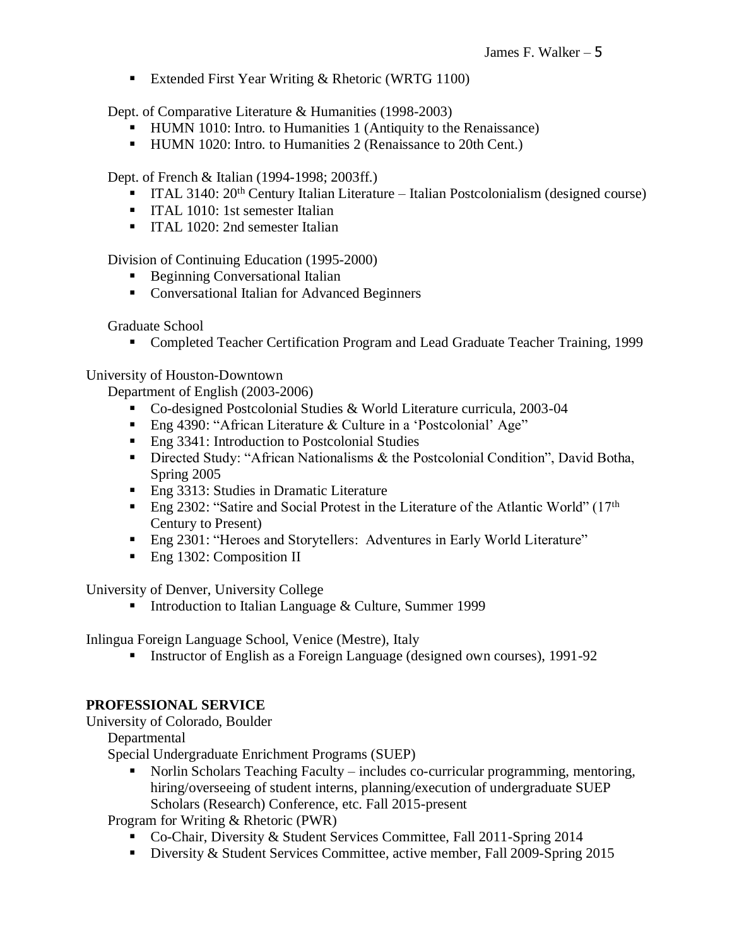■ Extended First Year Writing & Rhetoric (WRTG 1100)

Dept. of Comparative Literature & Humanities (1998-2003)

- HUMN 1010: Intro. to Humanities 1 (Antiquity to the Renaissance)
- **HUMN 1020: Intro. to Humanities 2 (Renaissance to 20th Cent.)**

Dept. of French & Italian (1994-1998; 2003ff.)

- ITAL 3140: 20<sup>th</sup> Century Italian Literature Italian Postcolonialism (designed course)
- **•** ITAL 1010: 1st semester Italian
- **ITAL 1020: 2nd semester Italian**

Division of Continuing Education (1995-2000)

- Beginning Conversational Italian
- Conversational Italian for Advanced Beginners

Graduate School

▪ Completed Teacher Certification Program and Lead Graduate Teacher Training, 1999

University of Houston-Downtown

Department of English (2003-2006)

- Co-designed Postcolonial Studies & World Literature curricula, 2003-04
- Eng 4390: "African Literature & Culture in a 'Postcolonial' Age"
- Eng 3341: Introduction to Postcolonial Studies
- **•** Directed Study: "African Nationalisms & the Postcolonial Condition", David Botha, Spring 2005
- Eng 3313: Studies in Dramatic Literature
- **Eng 2302: "Satire and Social Protest in the Literature of the Atlantic World"** ( $17<sup>th</sup>$ Century to Present)
- Eng 2301: "Heroes and Storytellers: Adventures in Early World Literature"
- Eng 1302: Composition II

University of Denver, University College

■ Introduction to Italian Language & Culture, Summer 1999

Inlingua Foreign Language School, Venice (Mestre), Italy

▪ Instructor of English as a Foreign Language (designed own courses), 1991-92

## **PROFESSIONAL SERVICE**

University of Colorado, Boulder

Departmental

Special Undergraduate Enrichment Programs (SUEP)

■ Norlin Scholars Teaching Faculty – includes co-curricular programming, mentoring, hiring/overseeing of student interns, planning/execution of undergraduate SUEP Scholars (Research) Conference, etc. Fall 2015-present

Program for Writing & Rhetoric (PWR)

- Co-Chair, Diversity & Student Services Committee, Fall 2011-Spring 2014
- Diversity & Student Services Committee, active member, Fall 2009-Spring 2015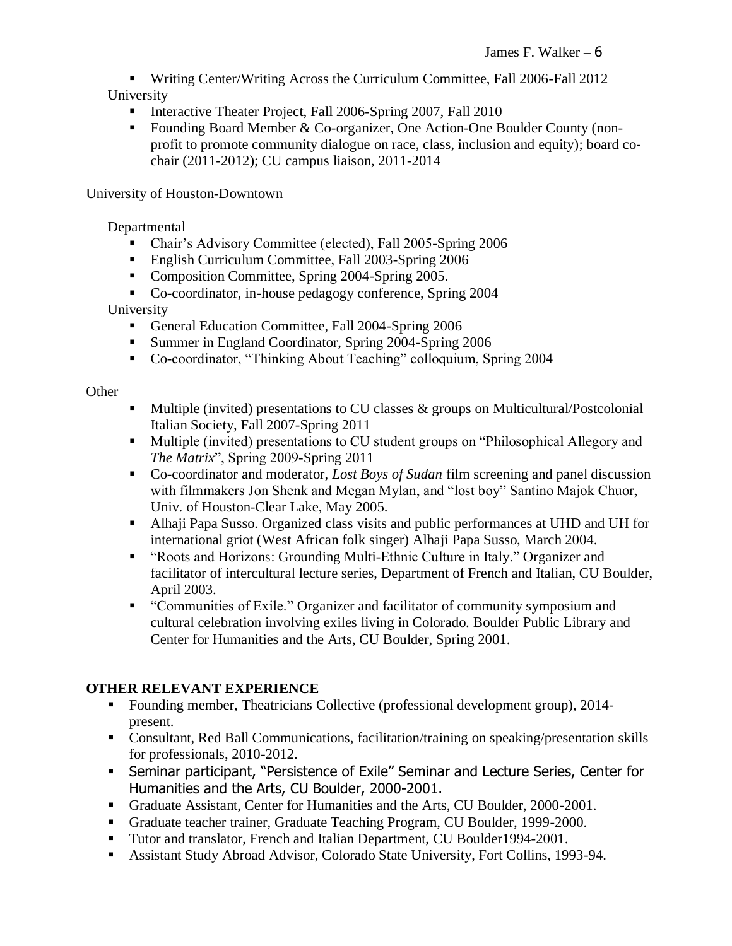▪ Writing Center/Writing Across the Curriculum Committee, Fall 2006-Fall 2012 University

- **Interactive Theater Project, Fall 2006-Spring 2007, Fall 2010**
- Founding Board Member & Co-organizer, One Action-One Boulder County (nonprofit to promote community dialogue on race, class, inclusion and equity); board cochair (2011-2012); CU campus liaison, 2011-2014

## University of Houston-Downtown

Departmental

- Chair's Advisory Committee (elected), Fall 2005-Spring 2006
- English Curriculum Committee, Fall 2003-Spring 2006
- Composition Committee, Spring 2004-Spring 2005.
- Co-coordinator, in-house pedagogy conference, Spring 2004

University

- General Education Committee, Fall 2004-Spring 2006
- Summer in England Coordinator, Spring 2004-Spring 2006
- Co-coordinator, "Thinking About Teaching" colloquium, Spring 2004

## **Other**

- $\blacksquare$  Multiple (invited) presentations to CU classes & groups on Multicultural/Postcolonial Italian Society, Fall 2007-Spring 2011
- Multiple (invited) presentations to CU student groups on "Philosophical Allegory and *The Matrix*", Spring 2009-Spring 2011
- Co-coordinator and moderator, *Lost Boys of Sudan* film screening and panel discussion with filmmakers Jon Shenk and Megan Mylan, and "lost boy" Santino Majok Chuor, Univ. of Houston-Clear Lake, May 2005.
- Alhaji Papa Susso. Organized class visits and public performances at UHD and UH for international griot (West African folk singer) Alhaji Papa Susso, March 2004.
- "Roots and Horizons: Grounding Multi-Ethnic Culture in Italy." Organizer and facilitator of intercultural lecture series, Department of French and Italian, CU Boulder, April 2003.
- "Communities of Exile." Organizer and facilitator of community symposium and cultural celebration involving exiles living in Colorado. Boulder Public Library and Center for Humanities and the Arts, CU Boulder, Spring 2001.

## **OTHER RELEVANT EXPERIENCE**

- Founding member, Theatricians Collective (professional development group), 2014present.
- Consultant, Red Ball Communications, facilitation/training on speaking/presentation skills for professionals, 2010-2012.
- **EXECT:** Seminar participant, "Persistence of Exile" Seminar and Lecture Series, Center for Humanities and the Arts, CU Boulder, 2000-2001.
- Graduate Assistant, Center for Humanities and the Arts, CU Boulder, 2000-2001.
- Graduate teacher trainer, Graduate Teaching Program, CU Boulder, 1999-2000.
- Tutor and translator, French and Italian Department, CU Boulder1994-2001.
- Assistant Study Abroad Advisor, Colorado State University, Fort Collins, 1993-94.